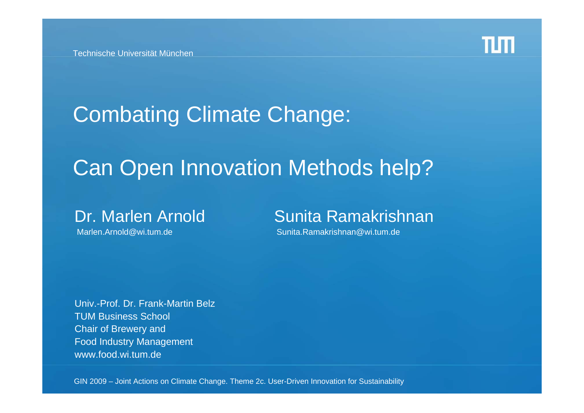

# Combating Climate Change:

## Can Open Innovation Methods help?

#### Dr. Marlen Arnold Sunita Ramakrishnan

Marlen.Arnold@wi.tum.de Sunita.Ramakrishnan@wi.tum.de

Univ.-Prof. Dr. Frank-Martin BelzTUM Business School Chair of Brewery and Food Industry Management www.food.wi.tum.de

GIN 2009 – Joint Actions on Climate Change. Theme 2c. User-Driven Innovation for Sustainability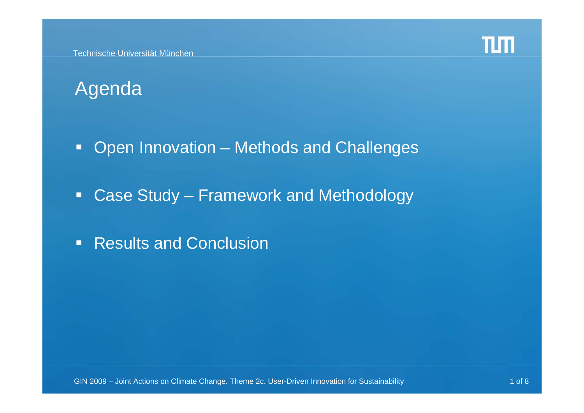

## Agenda

- $\Box$ Open Innovation – Methods and Challenges
- $\Box$ Case Study – Framework and Methodology
- $\blacksquare$ Results and Conclusion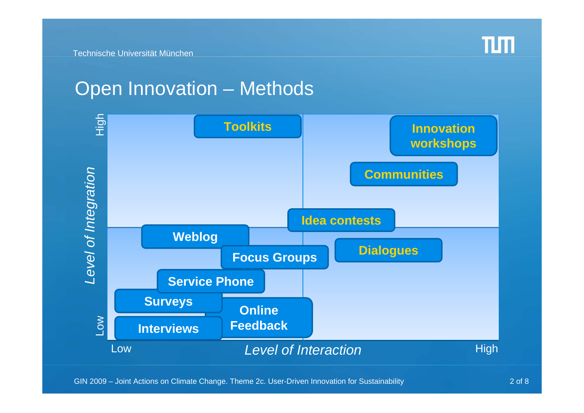#### Open Innovation – Methods

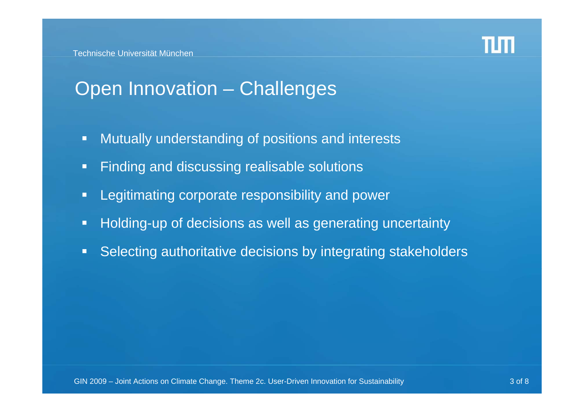

## Open Innovation – Challenges

- $\Box$ Mutually understanding of positions and interests
- $\blacksquare$ Finding and discussing realisable solutions
- $\blacksquare$ Legitimating corporate responsibility and power
- $\Box$ Holding-up of decisions as well as generating uncertainty
- $\blacksquare$ Selecting authoritative decisions by integrating stakeholders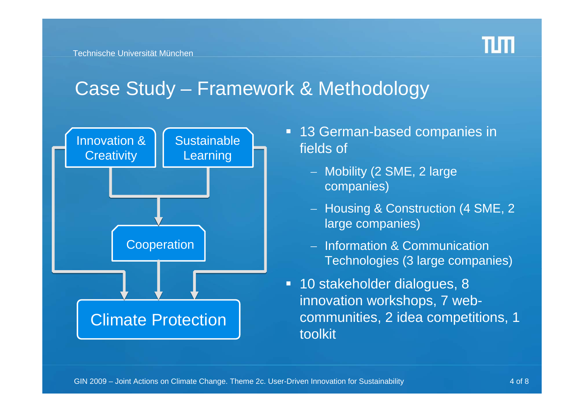

#### Case Study – Framework & Methodology



- 13 German-based companies in fields of
	- Mobility (2 SME, 2 large companies)
	- Housing & Construction (4 SME, 2  $\,$ large companies)
	- Information & Communication Technologies (3 large companies)
- 10 stakeholder dialogues, 8 innovation workshops, 7 webcommunities, 2 idea competitions, 1 toolkit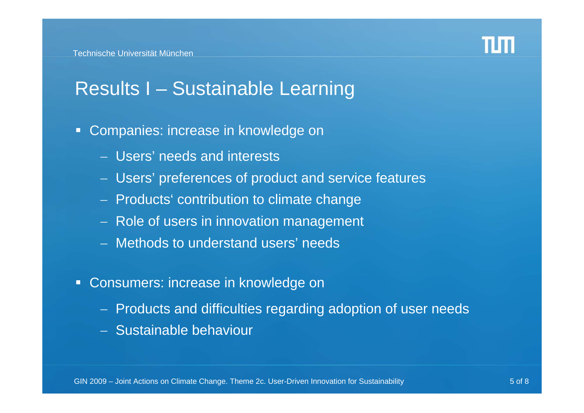

## Results I – Sustainable Learning

- $\blacksquare$  Companies: increase in knowledge on
	- Users' needs and interests
	- Users' preferences of product and service features
	- Products' contribution to climate change
	- Role of users in innovation management
	- Methods to understand users' needs
- Consumers: increase in knowledge on
	- Products and difficulties regarding adoption of user needs
	- Sustainable behaviour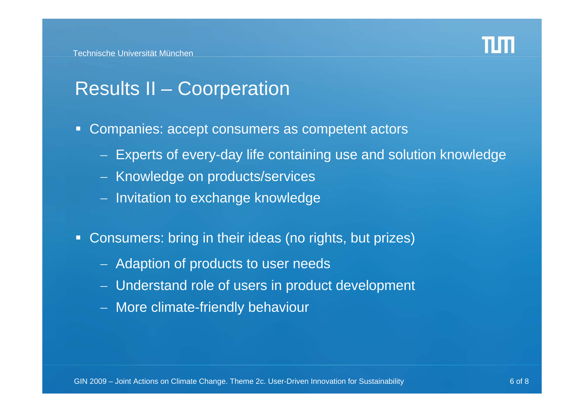

#### Results II – Coorperation

- Companies: accept consumers as competent actors
	- Experts of every-day life containing use and solution knowledge
	- Knowledge on products/services
	- Invitation to exchange knowledge
- $\blacksquare$  Consumers: bring in their ideas (no rights, but prizes)
	- $-$  Adaption of products to user needs
	- Understand role of users in product development
	- More climate-friendly behaviour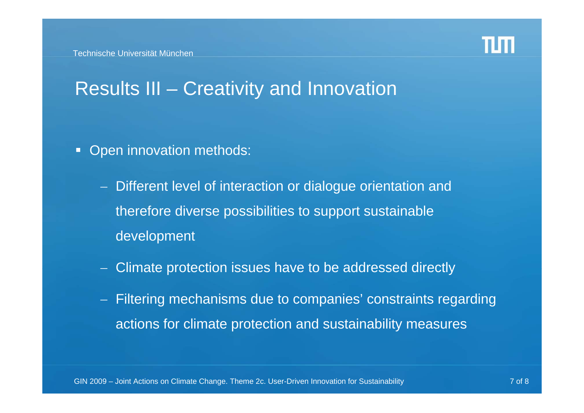

#### Results III – Creativity and Innovation

- $\blacksquare$  Open innovation methods:
	- Different level of interaction or dialogue orientation and therefore diverse possibilities to support sustainable development
	- Climate protection issues have to be addressed directly
	- Filtering mechanisms due to companies' constraints regarding actions for climate protection and sustainability measures